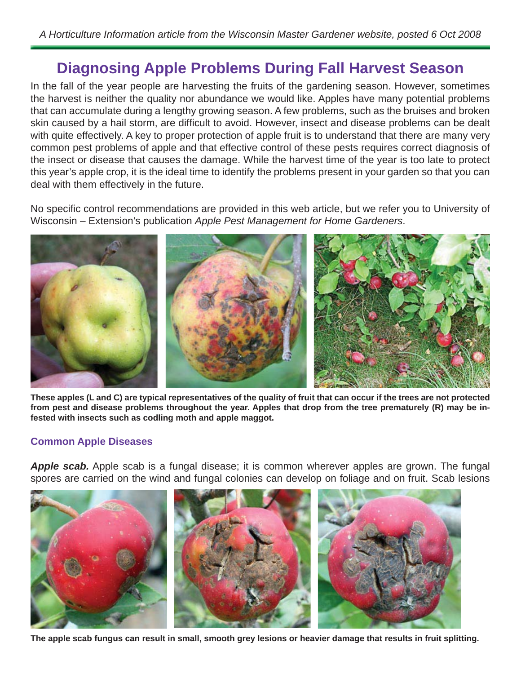# **Diagnosing Apple Problems During Fall Harvest Season**

In the fall of the year people are harvesting the fruits of the gardening season. However, sometimes the harvest is neither the quality nor abundance we would like. Apples have many potential problems that can accumulate during a lengthy growing season. A few problems, such as the bruises and broken skin caused by a hail storm, are difficult to avoid. However, insect and disease problems can be dealt with quite effectively. A key to proper protection of apple fruit is to understand that there are many very common pest problems of apple and that effective control of these pests requires correct diagnosis of the insect or disease that causes the damage. While the harvest time of the year is too late to protect this year's apple crop, it is the ideal time to identify the problems present in your garden so that you can deal with them effectively in the future.

No specific control recommendations are provided in this web article, but we refer you to University of Wisconsin – Extension's publication *Apple Pest Management for Home Gardeners*.



**These apples (L and C) are typical representatives of the quality of fruit that can occur if the trees are not protected from pest and disease problems throughout the year. Apples that drop from the tree prematurely (R) may be infested with insects such as codling moth and apple maggot.**

## **Common Apple Diseases**

*Apple scab.* Apple scab is a fungal disease; it is common wherever apples are grown. The fungal spores are carried on the wind and fungal colonies can develop on foliage and on fruit. Scab lesions



**The apple scab fungus can result in small, smooth grey lesions or heavier damage that results in fruit splitting.**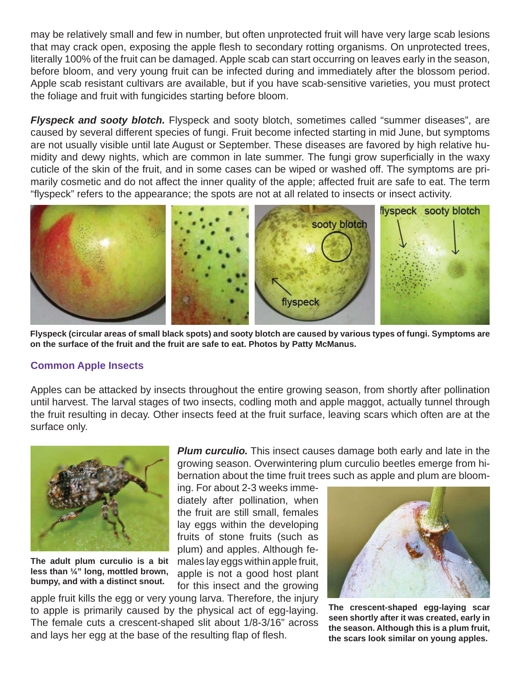may be relatively small and few in number, but often unprotected fruit will have very large scab lesions that may crack open, exposing the apple flesh to secondary rotting organisms. On unprotected trees, literally 100% of the fruit can be damaged. Apple scab can start occurring on leaves early in the season, before bloom, and very young fruit can be infected during and immediately after the blossom period. Apple scab resistant cultivars are available, but if you have scab-sensitive varieties, you must protect the foliage and fruit with fungicides starting before bloom.

*Flyspeck and sooty blotch.* Flyspeck and sooty blotch, sometimes called "summer diseases", are caused by several different species of fungi. Fruit become infected starting in mid June, but symptoms are not usually visible until late August or September. These diseases are favored by high relative humidity and dewy nights, which are common in late summer. The fungi grow superficially in the waxy cuticle of the skin of the fruit, and in some cases can be wiped or washed off. The symptoms are primarily cosmetic and do not affect the inner quality of the apple; affected fruit are safe to eat. The term "flyspeck" refers to the appearance; the spots are not at all related to insects or insect activity.



**Flyspeck (circular areas of small black spots) and sooty blotch are caused by various types of fungi. Symptoms are on the surface of the fruit and the fruit are safe to eat. Photos by Patty McManus.**

### **Common Apple Insects**

Apples can be attacked by insects throughout the entire growing season, from shortly after pollination until harvest. The larval stages of two insects, codling moth and apple maggot, actually tunnel through the fruit resulting in decay. Other insects feed at the fruit surface, leaving scars which often are at the surface only.



**The adult plum curculio is a bit less than ¼" long, mottled brown, bumpy, and with a distinct snout.**

*Plum curculio.* This insect causes damage both early and late in the growing season. Overwintering plum curculio beetles emerge from hibernation about the time fruit trees such as apple and plum are bloom-

ing. For about 2-3 weeks immediately after pollination, when the fruit are still small, females lay eggs within the developing fruits of stone fruits (such as plum) and apples. Although females lay eggs within apple fruit, apple is not a good host plant for this insect and the growing

apple fruit kills the egg or very young larva. Therefore, the injury to apple is primarily caused by the physical act of egg-laying. The female cuts a crescent-shaped slit about 1/8-3/16" across and lays her egg at the base of the resulting flap of flesh.



**The crescent-shaped egg-laying scar seen shortly after it was created, early in the season. Although this is a plum fruit, the scars look similar on young apples.**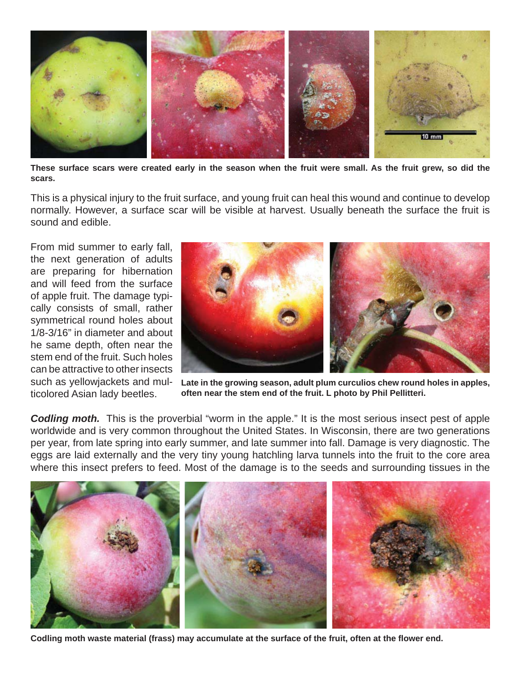

**These surface scars were created early in the season when the fruit were small. As the fruit grew, so did the scars.**

This is a physical injury to the fruit surface, and young fruit can heal this wound and continue to develop normally. However, a surface scar will be visible at harvest. Usually beneath the surface the fruit is sound and edible.

From mid summer to early fall, the next generation of adults are preparing for hibernation and will feed from the surface of apple fruit. The damage typically consists of small, rather symmetrical round holes about 1/8-3/16" in diameter and about he same depth, often near the stem end of the fruit. Such holes can be attractive to other insects such as yellowjackets and multicolored Asian lady beetles.



**Late in the growing season, adult plum curculios chew round holes in apples, often near the stem end of the fruit. L photo by Phil Pellitteri.**

*Codling moth.* This is the proverbial "worm in the apple." It is the most serious insect pest of apple worldwide and is very common throughout the United States. In Wisconsin, there are two generations per year, from late spring into early summer, and late summer into fall. Damage is very diagnostic. The eggs are laid externally and the very tiny young hatchling larva tunnels into the fruit to the core area where this insect prefers to feed. Most of the damage is to the seeds and surrounding tissues in the



Codling moth waste material (frass) may accumulate at the surface of the fruit, often at the flower end.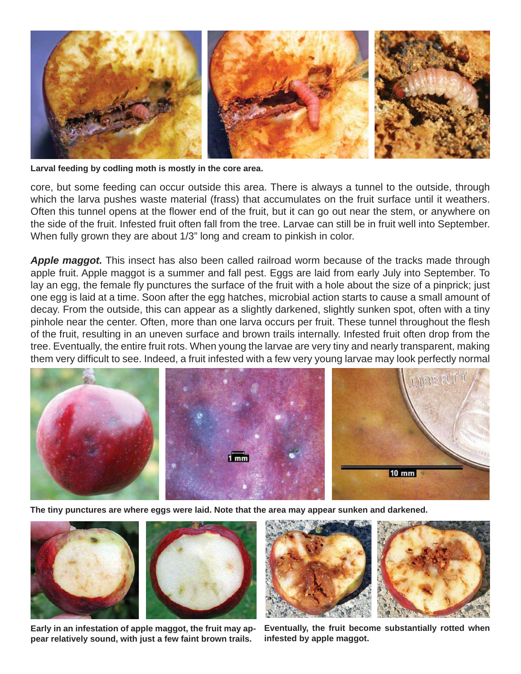

**Larval feeding by codling moth is mostly in the core area.**

core, but some feeding can occur outside this area. There is always a tunnel to the outside, through which the larva pushes waste material (frass) that accumulates on the fruit surface until it weathers. Often this tunnel opens at the flower end of the fruit, but it can go out near the stem, or anywhere on the side of the fruit. Infested fruit often fall from the tree. Larvae can still be in fruit well into September. When fully grown they are about 1/3" long and cream to pinkish in color.

*Apple maggot.* This insect has also been called railroad worm because of the tracks made through apple fruit. Apple maggot is a summer and fall pest. Eggs are laid from early July into September. To lay an egg, the female fly punctures the surface of the fruit with a hole about the size of a pinprick; just one egg is laid at a time. Soon after the egg hatches, microbial action starts to cause a small amount of decay. From the outside, this can appear as a slightly darkened, slightly sunken spot, often with a tiny pinhole near the center. Often, more than one larva occurs per fruit. These tunnel throughout the flesh of the fruit, resulting in an uneven surface and brown trails internally. Infested fruit often drop from the tree. Eventually, the entire fruit rots. When young the larvae are very tiny and nearly transparent, making them very difficult to see. Indeed, a fruit infested with a few very young larvae may look perfectly normal



**The tiny punctures are where eggs were laid. Note that the area may appear sunken and darkened.**



**Early in an infestation of apple maggot, the fruit may appear relatively sound, with just a few faint brown trails.**



**Eventually, the fruit become substantially rotted when infested by apple maggot.**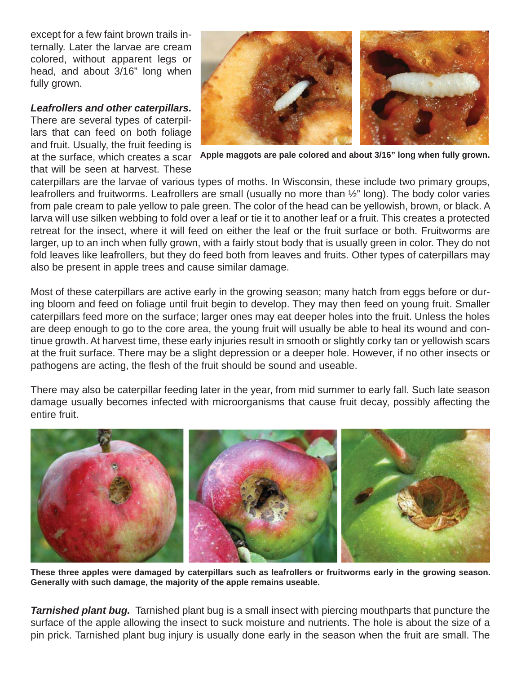except for a few faint brown trails internally. Later the larvae are cream colored, without apparent legs or head, and about 3/16" long when fully grown.

#### *Leafrollers and other caterpillars.*

There are several types of caterpillars that can feed on both foliage and fruit. Usually, the fruit feeding is at the surface, which creates a scar that will be seen at harvest. These



**Apple maggots are pale colored and about 3/16" long when fully grown.**

caterpillars are the larvae of various types of moths. In Wisconsin, these include two primary groups, leafrollers and fruitworms. Leafrollers are small (usually no more than ½" long). The body color varies from pale cream to pale yellow to pale green. The color of the head can be yellowish, brown, or black. A larva will use silken webbing to fold over a leaf or tie it to another leaf or a fruit. This creates a protected retreat for the insect, where it will feed on either the leaf or the fruit surface or both. Fruitworms are larger, up to an inch when fully grown, with a fairly stout body that is usually green in color. They do not fold leaves like leafrollers, but they do feed both from leaves and fruits. Other types of caterpillars may also be present in apple trees and cause similar damage.

Most of these caterpillars are active early in the growing season; many hatch from eggs before or during bloom and feed on foliage until fruit begin to develop. They may then feed on young fruit. Smaller caterpillars feed more on the surface; larger ones may eat deeper holes into the fruit. Unless the holes are deep enough to go to the core area, the young fruit will usually be able to heal its wound and continue growth. At harvest time, these early injuries result in smooth or slightly corky tan or yellowish scars at the fruit surface. There may be a slight depression or a deeper hole. However, if no other insects or pathogens are acting, the flesh of the fruit should be sound and useable.

There may also be caterpillar feeding later in the year, from mid summer to early fall. Such late season damage usually becomes infected with microorganisms that cause fruit decay, possibly affecting the entire fruit.



**These three apples were damaged by caterpillars such as leafrollers or fruitworms early in the growing season. Generally with such damage, the majority of the apple remains useable.**

*Tarnished plant bug.* Tarnished plant bug is a small insect with piercing mouthparts that puncture the surface of the apple allowing the insect to suck moisture and nutrients. The hole is about the size of a pin prick. Tarnished plant bug injury is usually done early in the season when the fruit are small. The